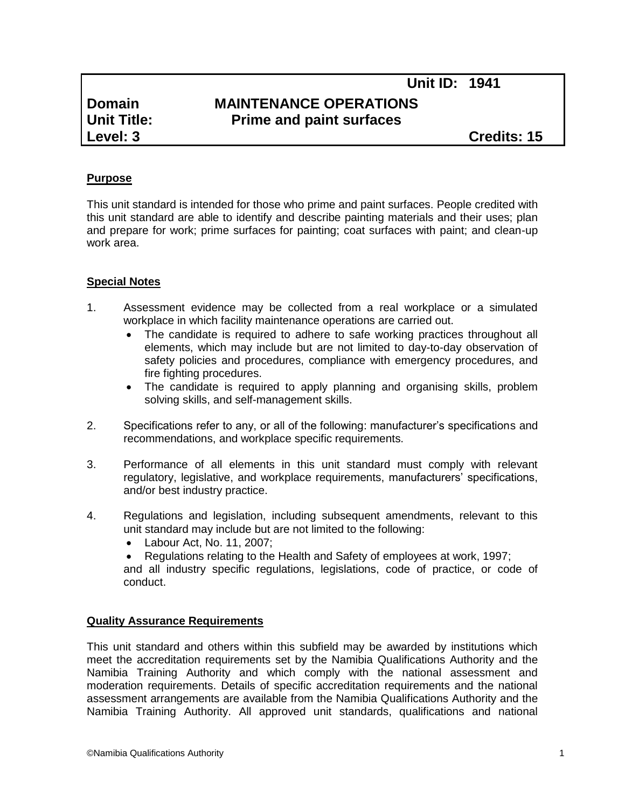# **Domain MAINTENANCE OPERATIONS Unit Title: Prime and paint surfaces**

**Level: 3 Credits: 15**

# **Purpose**

This unit standard is intended for those who prime and paint surfaces. People credited with this unit standard are able to identify and describe painting materials and their uses; plan and prepare for work; prime surfaces for painting; coat surfaces with paint; and clean-up work area.

### **Special Notes**

- 1. Assessment evidence may be collected from a real workplace or a simulated workplace in which facility maintenance operations are carried out.
	- The candidate is required to adhere to safe working practices throughout all elements, which may include but are not limited to day-to-day observation of safety policies and procedures, compliance with emergency procedures, and fire fighting procedures.
	- The candidate is required to apply planning and organising skills, problem solving skills, and self-management skills.
- 2. Specifications refer to any, or all of the following: manufacturer's specifications and recommendations, and workplace specific requirements.
- 3. Performance of all elements in this unit standard must comply with relevant regulatory, legislative, and workplace requirements, manufacturers' specifications, and/or best industry practice.
- 4. Regulations and legislation, including subsequent amendments, relevant to this unit standard may include but are not limited to the following:
	- Labour Act, No. 11, 2007;
	- Regulations relating to the Health and Safety of employees at work, 1997;

and all industry specific regulations, legislations, code of practice, or code of conduct.

#### **Quality Assurance Requirements**

This unit standard and others within this subfield may be awarded by institutions which meet the accreditation requirements set by the Namibia Qualifications Authority and the Namibia Training Authority and which comply with the national assessment and moderation requirements. Details of specific accreditation requirements and the national assessment arrangements are available from the Namibia Qualifications Authority and the Namibia Training Authority. All approved unit standards, qualifications and national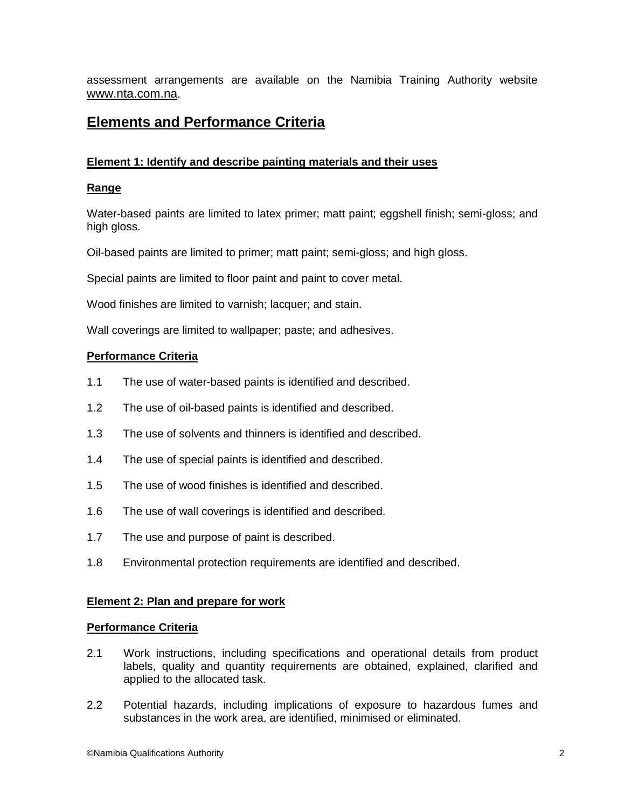assessment arrangements are available on the Namibia Training Authority website [www.nta.com.na](http://www.nta.com.na/).

# **Elements and Performance Criteria**

# **Element 1: Identify and describe painting materials and their uses**

# **Range**

Water-based paints are limited to latex primer; matt paint; eggshell finish; semi-gloss; and high gloss.

Oil-based paints are limited to primer; matt paint; semi-gloss; and high gloss.

Special paints are limited to floor paint and paint to cover metal.

Wood finishes are limited to varnish; lacquer; and stain.

Wall coverings are limited to wallpaper; paste; and adhesives.

# **Performance Criteria**

- 1.1 The use of water-based paints is identified and described.
- 1.2 The use of oil-based paints is identified and described.
- 1.3 The use of solvents and thinners is identified and described.
- 1.4 The use of special paints is identified and described.
- 1.5 The use of wood finishes is identified and described.
- 1.6 The use of wall coverings is identified and described.
- 1.7 The use and purpose of paint is described.
- 1.8 Environmental protection requirements are identified and described.

# **Element 2: Plan and prepare for work**

#### **Performance Criteria**

- 2.1 Work instructions, including specifications and operational details from product labels, quality and quantity requirements are obtained, explained, clarified and applied to the allocated task.
- 2.2 Potential hazards, including implications of exposure to hazardous fumes and substances in the work area, are identified, minimised or eliminated.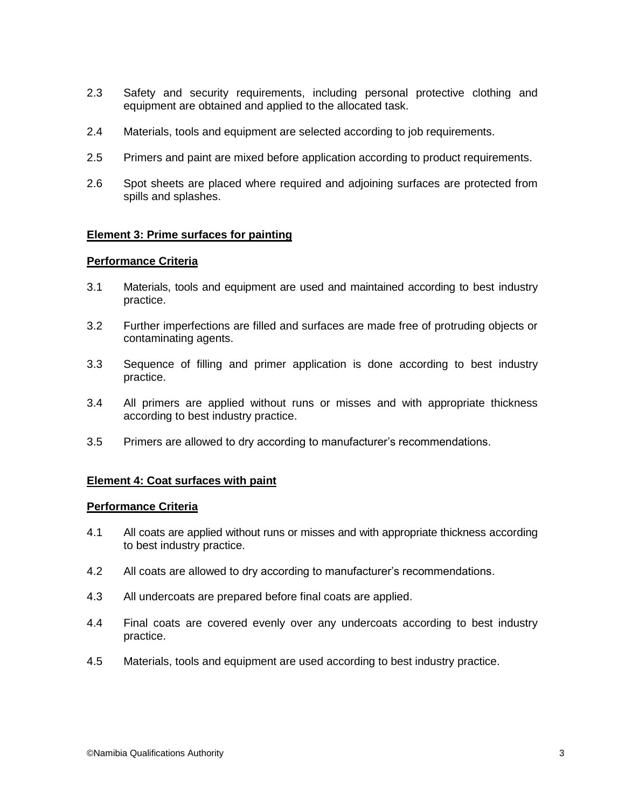- 2.3 Safety and security requirements, including personal protective clothing and equipment are obtained and applied to the allocated task.
- 2.4 Materials, tools and equipment are selected according to job requirements.
- 2.5 Primers and paint are mixed before application according to product requirements.
- 2.6 Spot sheets are placed where required and adjoining surfaces are protected from spills and splashes.

### **Element 3: Prime surfaces for painting**

#### **Performance Criteria**

- 3.1 Materials, tools and equipment are used and maintained according to best industry practice.
- 3.2 Further imperfections are filled and surfaces are made free of protruding objects or contaminating agents.
- 3.3 Sequence of filling and primer application is done according to best industry practice.
- 3.4 All primers are applied without runs or misses and with appropriate thickness according to best industry practice.
- 3.5 Primers are allowed to dry according to manufacturer's recommendations.

#### **Element 4: Coat surfaces with paint**

#### **Performance Criteria**

- 4.1 All coats are applied without runs or misses and with appropriate thickness according to best industry practice.
- 4.2 All coats are allowed to dry according to manufacturer's recommendations.
- 4.3 All undercoats are prepared before final coats are applied.
- 4.4 Final coats are covered evenly over any undercoats according to best industry practice.
- 4.5 Materials, tools and equipment are used according to best industry practice.